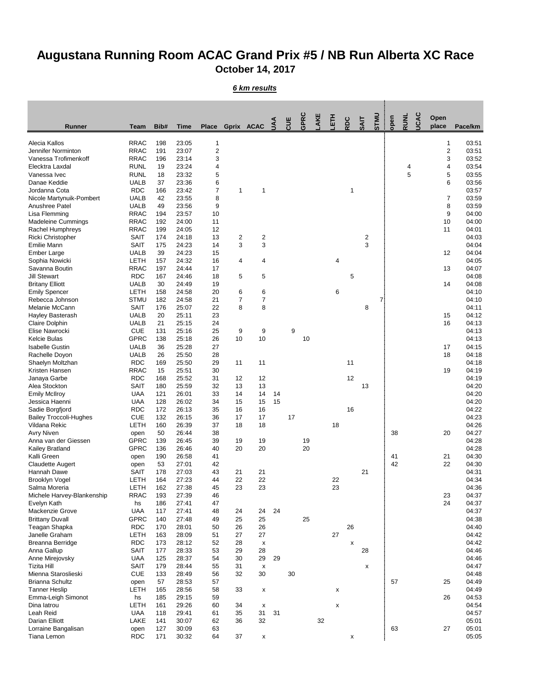## **Augustana Running Room ACAC Grand Prix #5 / NB Run Alberta XC Race October 14, 2017**

*6 km results*

| <b>Runner</b>                                 | <b>Team</b>                | Bib#       | <b>Time</b>    | <b>Place</b>   |                | Gprix ACAC              | c<br>$\mathsf{S}$ | <b>UIS</b> | GPRC | AKE | 舌  | RDC | <b>SAIT</b> | <b>UNLS</b> | open | <b>RUNL</b> | <b>UCAC</b> | Open<br>place | Pace/km        |
|-----------------------------------------------|----------------------------|------------|----------------|----------------|----------------|-------------------------|-------------------|------------|------|-----|----|-----|-------------|-------------|------|-------------|-------------|---------------|----------------|
| Alecia Kallos                                 | <b>RRAC</b>                | 198        | 23:05          | $\mathbf 1$    |                |                         |                   |            |      |     |    |     |             |             |      |             |             | 1             | 03:51          |
| Jennifer Norminton                            | <b>RRAC</b>                | 191        | 23:07          | $\overline{c}$ |                |                         |                   |            |      |     |    |     |             |             |      |             |             | $\mathbf{2}$  | 03:51          |
| Vanessa Trofimenkoff                          | <b>RRAC</b>                | 196        | 23:14          | 3              |                |                         |                   |            |      |     |    |     |             |             |      |             |             | 3             | 03:52          |
| Elecktra Laxdal                               | <b>RUNL</b>                | 19         | 23:24          | 4              |                |                         |                   |            |      |     |    |     |             |             |      | 4           |             | 4             | 03:54          |
| Vanessa Ivec                                  | <b>RUNL</b>                | 18         | 23:32          | 5              |                |                         |                   |            |      |     |    |     |             |             |      | 5           |             | 5             | 03:55          |
| Danae Keddie                                  | <b>UALB</b>                | 37         | 23:36          | 6              |                |                         |                   |            |      |     |    |     |             |             |      |             |             | 6             | 03:56          |
| Jordanna Cota                                 | <b>RDC</b>                 | 166        | 23:42          | $\overline{7}$ | 1              | $\overline{\mathbf{1}}$ |                   |            |      |     |    | 1   |             |             |      |             |             |               | 03:57          |
| Nicole Martynuik-Pombert<br>Anushree Patel    | <b>UALB</b><br><b>UALB</b> | 42<br>49   | 23:55<br>23:56 | 8<br>9         |                |                         |                   |            |      |     |    |     |             |             |      |             |             | 7<br>8        | 03:59<br>03:59 |
| Lisa Flemming                                 | <b>RRAC</b>                | 194        | 23:57          | 10             |                |                         |                   |            |      |     |    |     |             |             |      |             |             | 9             | 04:00          |
| <b>Madeleine Cummings</b>                     | <b>RRAC</b>                | 192        | 24:00          | 11             |                |                         |                   |            |      |     |    |     |             |             |      |             |             | 10            | 04:00          |
| Rachel Humphreys                              | <b>RRAC</b>                | 199        | 24:05          | 12             |                |                         |                   |            |      |     |    |     |             |             |      |             |             | 11            | 04:01          |
| Ricki Christopher                             | <b>SAIT</b>                | 174        | 24:18          | 13             | $\overline{2}$ | $\overline{\mathbf{c}}$ |                   |            |      |     |    |     | 2           |             |      |             |             |               | 04:03          |
| <b>Emilie Mann</b>                            | <b>SAIT</b>                | 175        | 24:23          | 14             | 3              | 3                       |                   |            |      |     |    |     | 3           |             |      |             |             |               | 04:04          |
| <b>Ember Large</b>                            | <b>UALB</b>                | 39         | 24:23          | 15             |                |                         |                   |            |      |     |    |     |             |             |      |             |             | 12            | 04:04          |
| Sophia Nowicki                                | LETH                       | 157        | 24:32          | 16             | 4              | 4                       |                   |            |      |     | 4  |     |             |             |      |             |             |               | 04:05          |
| Savanna Boutin                                | <b>RRAC</b>                | 197        | 24:44          | 17             |                |                         |                   |            |      |     |    |     |             |             |      |             |             | 13            | 04:07          |
| <b>Jill Stewart</b><br><b>Britany Elliott</b> | <b>RDC</b><br><b>UALB</b>  | 167<br>30  | 24:46<br>24:49 | 18<br>19       | 5              | 5                       |                   |            |      |     |    | 5   |             |             |      |             |             | 14            | 04:08<br>04:08 |
| <b>Emily Spencer</b>                          | <b>LETH</b>                | 158        | 24:58          | 20             | 6              | 6                       |                   |            |      |     | 6  |     |             |             |      |             |             |               | 04:10          |
| Rebecca Johnson                               | <b>STMU</b>                | 182        | 24:58          | 21             | $\overline{7}$ | $\boldsymbol{7}$        |                   |            |      |     |    |     |             | 7.          |      |             |             |               | 04:10          |
| Melanie McCann                                | <b>SAIT</b>                | 176        | 25:07          | 22             | 8              | 8                       |                   |            |      |     |    |     | 8           |             |      |             |             |               | 04:11          |
| Hayley Basterash                              | <b>UALB</b>                | 20         | 25:11          | 23             |                |                         |                   |            |      |     |    |     |             |             |      |             |             | 15            | 04:12          |
| <b>Claire Dolphin</b>                         | <b>UALB</b>                | 21         | 25:15          | 24             |                |                         |                   |            |      |     |    |     |             |             |      |             |             | 16            | 04:13          |
| Elise Nawrocki                                | <b>CUE</b>                 | 131        | 25:16          | 25             | 9              | 9                       |                   | 9          |      |     |    |     |             |             |      |             |             |               | 04:13          |
| Kelcie Bulas                                  | <b>GPRC</b>                | 138        | 25:18          | 26             | 10             | 10                      |                   |            | 10   |     |    |     |             |             |      |             |             |               | 04:13          |
| <b>Isabelle Gustin</b>                        | <b>UALB</b>                | 36         | 25:28          | 27             |                |                         |                   |            |      |     |    |     |             |             |      |             |             | 17            | 04:15          |
| Rachelle Doyon                                | <b>UALB</b><br><b>RDC</b>  | 26<br>169  | 25:50<br>25:50 | 28<br>29       | 11             | 11                      |                   |            |      |     |    | 11  |             |             |      |             |             | 18            | 04:18<br>04:18 |
| Shaelyn Moltzhan<br>Kristen Hansen            | <b>RRAC</b>                | 15         | 25:51          | 30             |                |                         |                   |            |      |     |    |     |             |             |      |             |             | 19            | 04:19          |
| Janaya Garbe                                  | <b>RDC</b>                 | 168        | 25:52          | 31             | 12             | 12                      |                   |            |      |     |    | 12  |             |             |      |             |             |               | 04:19          |
| Alea Stockton                                 | SAIT                       | 180        | 25:59          | 32             | 13             | 13                      |                   |            |      |     |    |     | 13          |             |      |             |             |               | 04:20          |
| <b>Emily McIlroy</b>                          | <b>UAA</b>                 | 121        | 26:01          | 33             | 14             | 14                      | 14                |            |      |     |    |     |             |             |      |             |             |               | 04:20          |
| Jessica Haenni                                | <b>UAA</b>                 | 128        | 26:02          | 34             | 15             | 15                      | 15                |            |      |     |    |     |             |             |      |             |             |               | 04:20          |
| Sadie Borgfjord                               | <b>RDC</b>                 | 172        | 26:13          | 35             | 16             | 16                      |                   |            |      |     |    | 16  |             |             |      |             |             |               | 04:22          |
| <b>Bailey Troccoli-Hughes</b>                 | <b>CUE</b>                 | 132        | 26:15          | 36             | 17             | 17                      |                   | 17         |      |     |    |     |             |             |      |             |             |               | 04:23          |
| Vildana Rekic                                 | LETH                       | 160        | 26:39          | 37             | 18             | 18                      |                   |            |      |     | 18 |     |             |             |      |             |             |               | 04:26          |
| <b>Avry Niven</b><br>Anna van der Giessen     | open<br><b>GPRC</b>        | 50<br>139  | 26:44<br>26:45 | 38<br>39       | 19             | 19                      |                   |            | 19   |     |    |     |             |             | 38   |             |             | 20            | 04:27<br>04:28 |
| Kailey Bratland                               | <b>GPRC</b>                | 136        | 26:46          | 40             | 20             | 20                      |                   |            | 20   |     |    |     |             |             |      |             |             |               | 04:28          |
| Kalli Green                                   | open                       | 190        | 26:58          | 41             |                |                         |                   |            |      |     |    |     |             |             | 41   |             |             | 21            | 04:30          |
| <b>Claudette Augert</b>                       | open                       | 53         | 27:01          | 42             |                |                         |                   |            |      |     |    |     |             |             | 42   |             |             | 22            | 04:30          |
| Hannah Dawe                                   | <b>SAIT</b>                | 178        | 27:03          | 43             | 21             | 21                      |                   |            |      |     |    |     | 21          |             |      |             |             |               | 04:31          |
| <b>Brooklyn Vogel</b>                         | <b>LETH</b>                | 164        | 27:23          | 44             | 22             | 22                      |                   |            |      |     | 22 |     |             |             |      |             |             |               | 04:34          |
| Salma Moreria                                 | <b>LETH</b>                | 162        | 27:38          | 45             | 23             | 23                      |                   |            |      |     | 23 |     |             |             |      |             |             |               | 04:36          |
| Michele Harvey-Blankenship                    | <b>RRAC</b>                | 193        | 27:39          | 46             |                |                         |                   |            |      |     |    |     |             |             |      |             |             | 23            | 04:37          |
| Evelyn Kath                                   | hs                         | 186        | 27:41          | 47             |                |                         |                   |            |      |     |    |     |             |             |      |             |             | 24            | 04:37          |
| Mackenzie Grove                               | <b>UAA</b><br><b>GPRC</b>  | 117<br>140 | 27:41<br>27:48 | 48<br>49       | 24<br>25       | 24<br>25                | 24                |            | 25   |     |    |     |             |             |      |             |             |               | 04:37<br>04:38 |
| <b>Brittany Duvall</b><br>Teagan Shapka       | <b>RDC</b>                 | 170        | 28:01          | 50             | 26             | 26                      |                   |            |      |     |    | 26  |             |             |      |             |             |               | 04:40          |
| Janelle Graham                                | LETH                       | 163        | 28:09          | 51             | 27             | 27                      |                   |            |      |     | 27 |     |             |             |      |             |             |               | 04:42          |
| Breanna Berridge                              | <b>RDC</b>                 | 173        | 28:12          | 52             | 28             | X                       |                   |            |      |     |    | X   |             |             |      |             |             |               | 04:42          |
| Anna Gallup                                   | <b>SAIT</b>                | 177        | 28:33          | 53             | 29             | 28                      |                   |            |      |     |    |     | 28          |             |      |             |             |               | 04:46          |
| Anne Mirejovsky                               | <b>UAA</b>                 | 125        | 28:37          | 54             | 30             | 29                      | 29                |            |      |     |    |     |             |             |      |             |             |               | 04:46          |
| <b>Tizita Hill</b>                            | <b>SAIT</b>                | 179        | 28:44          | 55             | 31             | X                       |                   |            |      |     |    |     | X           |             |      |             |             |               | 04:47          |
| Mienna Staroslieski                           | <b>CUE</b>                 | 133        | 28:49          | 56             | 32             | 30                      |                   | 30         |      |     |    |     |             |             |      |             |             |               | 04:48          |
| <b>Brianna Schultz</b>                        | open                       | 57         | 28:53          | 57             |                |                         |                   |            |      |     |    |     |             |             | 57   |             |             | 25            | 04:49          |
| <b>Tanner Heslip</b>                          | <b>LETH</b>                | 165        | 28:56          | 58             | 33             | X                       |                   |            |      |     | X  |     |             |             |      |             |             |               | 04:49          |
| Emma-Leigh Simonot<br>Dina latrou             | hs<br>LETH                 | 185<br>161 | 29:15<br>29:26 | 59<br>60       | 34             |                         |                   |            |      |     |    |     |             |             |      |             |             | 26            | 04:53<br>04:54 |
| Leah Reid                                     | <b>UAA</b>                 | 118        | 29:41          | 61             | 35             | X<br>31                 | 31                |            |      |     | X  |     |             |             |      |             |             |               | 04:57          |
| Darian Elliott                                | <b>LAKE</b>                | 141        | 30:07          | 62             | 36             | 32                      |                   |            |      | 32  |    |     |             |             |      |             |             |               | 05:01          |
| Lorraine Bangalisan                           | open                       | 127        | 30:09          | 63             |                |                         |                   |            |      |     |    |     |             |             | 63   |             |             | 27            | 05:01          |
| Tiana Lemon                                   | <b>RDC</b>                 | 171        | 30:32          | 64             | 37             | X                       |                   |            |      |     |    | X   |             |             |      |             |             |               | 05:05          |
|                                               |                            |            |                |                |                |                         |                   |            |      |     |    |     |             |             |      |             |             |               |                |